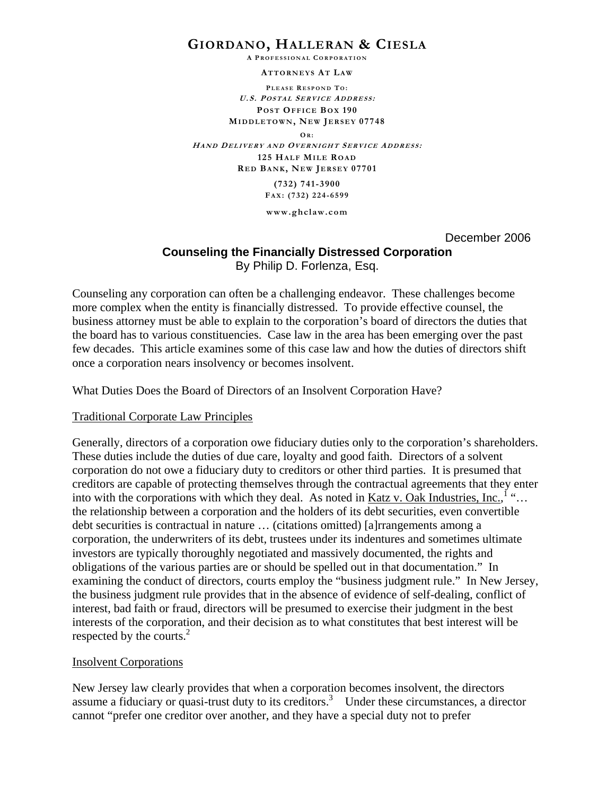# **GIORDANO, HALLERAN & CIESLA**

**A P ROFESSIONAL C ORPORATION**

**ATTORNEYS AT LA W**

**P LEASE R ESPOND T O : U.S. POSTAL SERVICE ADDRESS : POST OFFICE BOX 190 MIDDLETOWN , NEW JERSEY 07748 OR : HAND DELIVERY AND OVERNIGHT S ERVICE ADDRESS : 125 HALF MILE ROAD R ED BANK, NEW J ERSEY 07701 (732) 741-3900 FA X: (732) 224-6599 www.ghclaw.com** 

December 2006

# **Counseling the Financially Distressed Corporation** By Philip D. Forlenza, Esq.

Counseling any corporation can often be a challenging endeavor. These challenges become more complex when the entity is financially distressed. To provide effective counsel, the business attorney must be able to explain to the corporation's board of directors the duties that the board has to various constituencies. Case law in the area has been emerging over the past few decades. This article examines some of this case law and how the duties of directors shift once a corporation nears insolvency or becomes insolvent.

What Duties Does the Board of Directors of an Insolvent Corporation Have?

### Traditional Corporate Law Principles

Generally, directors of a corporation owe fiduciary duties only to the corporation's shareholders. These duties include the duties of due care, loyalty and good faith. Directors of a solvent corporation do not owe a fiduciary duty to creditors or other third parties. It is presumed that creditors are capable of protecting themselves through the contractual agreements that they enter into with the corporations with which they deal. As noted in <u>Katz v. Oak Industries, Inc.</u>,  $\cdots$ ... the relationship between a corporation and the holders of its debt securities, even convertible debt securities is contractual in nature … (citations omitted) [a]rrangements among a corporation, the underwriters of its debt, trustees under its indentures and sometimes ultimate investors are typically thoroughly negotiated and massively documented, the rights and obligations of the various parties are or should be spelled out in that documentation." In examining the conduct of directors, courts employ the "business judgment rule." In New Jersey, the business judgment rule provides that in the absence of evidence of self-dealing, conflict of interest, bad faith or fraud, directors will be presumed to exercise their judgment in the best interests of the corporation, and their decision as to what constitutes that best interest will be respected by the courts.<sup>2</sup>

### Insolvent Corporations

New Jersey law clearly provides that when a corporation becomes insolvent, the directors assume a fiduciary or quasi-trust duty to its creditors.<sup>3</sup> Under these circumstances, a director cannot "prefer one creditor over another, and they have a special duty not to prefer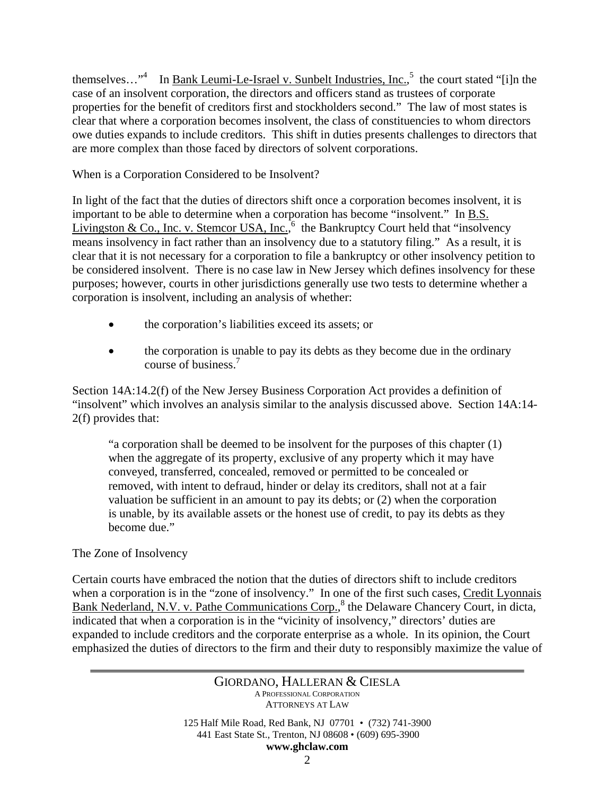themselves..."<sup>4</sup> In <u>Bank Leumi-Le-Israel v. Sunbelt Industries, Inc.</u>, the court stated "[i]n the case of an insolvent corporation, the directors and officers stand as trustees of corporate properties for the benefit of creditors first and stockholders second." The law of most states is clear that where a corporation becomes insolvent, the class of constituencies to whom directors owe duties expands to include creditors. This shift in duties presents challenges to directors that are more complex than those faced by directors of solvent corporations.

When is a Corporation Considered to be Insolvent?

In light of the fact that the duties of directors shift once a corporation becomes insolvent, it is important to be able to determine when a corporation has become "insolvent." In B.S. Livingston & Co., Inc. v. Stemcor USA, Inc.,  $6\theta$  the Bankruptcy Court held that "insolvency" means insolvency in fact rather than an insolvency due to a statutory filing." As a result, it is clear that it is not necessary for a corporation to file a bankruptcy or other insolvency petition to be considered insolvent. There is no case law in New Jersey which defines insolvency for these purposes; however, courts in other jurisdictions generally use two tests to determine whether a corporation is insolvent, including an analysis of whether:

- the corporation's liabilities exceed its assets; or
- the corporation is unable to pay its debts as they become due in the ordinary course of business.7

Section 14A:14.2(f) of the New Jersey Business Corporation Act provides a definition of "insolvent" which involves an analysis similar to the analysis discussed above. Section 14A:14- 2(f) provides that:

"a corporation shall be deemed to be insolvent for the purposes of this chapter (1) when the aggregate of its property, exclusive of any property which it may have conveyed, transferred, concealed, removed or permitted to be concealed or removed, with intent to defraud, hinder or delay its creditors, shall not at a fair valuation be sufficient in an amount to pay its debts; or (2) when the corporation is unable, by its available assets or the honest use of credit, to pay its debts as they become due."

## The Zone of Insolvency

Certain courts have embraced the notion that the duties of directors shift to include creditors when a corporation is in the "zone of insolvency." In one of the first such cases, Credit Lyonnais Bank Nederland, N.V. v. Pathe Communications Corp.,<sup>8</sup> the Delaware Chancery Court, in dicta, indicated that when a corporation is in the "vicinity of insolvency," directors' duties are expanded to include creditors and the corporate enterprise as a whole. In its opinion, the Court emphasized the duties of directors to the firm and their duty to responsibly maximize the value of

> GIORDANO, HALLERAN & CIESLA A PROFESSIONAL CORPORATION ATTORNEYS AT LAW 125 Half Mile Road, Red Bank, NJ 07701 • (732) 741-3900 441 East State St., Trenton, NJ 08608 • (609) 695-3900

#### **www.ghclaw.com**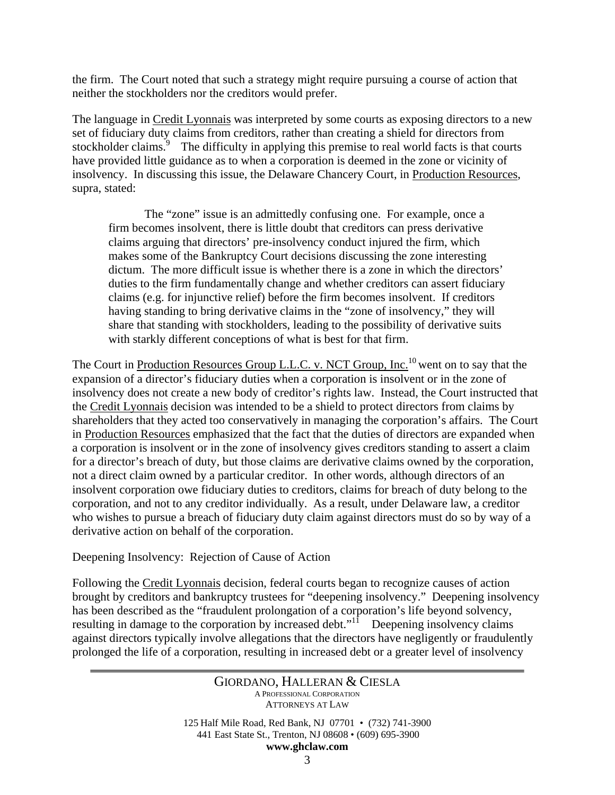the firm. The Court noted that such a strategy might require pursuing a course of action that neither the stockholders nor the creditors would prefer.

The language in Credit Lyonnais was interpreted by some courts as exposing directors to a new set of fiduciary duty claims from creditors, rather than creating a shield for directors from stockholder claims.<sup>9</sup> The difficulty in applying this premise to real world facts is that courts have provided little guidance as to when a corporation is deemed in the zone or vicinity of insolvency. In discussing this issue, the Delaware Chancery Court, in Production Resources, supra, stated:

 The "zone" issue is an admittedly confusing one. For example, once a firm becomes insolvent, there is little doubt that creditors can press derivative claims arguing that directors' pre-insolvency conduct injured the firm, which makes some of the Bankruptcy Court decisions discussing the zone interesting dictum. The more difficult issue is whether there is a zone in which the directors' duties to the firm fundamentally change and whether creditors can assert fiduciary claims (e.g. for injunctive relief) before the firm becomes insolvent. If creditors having standing to bring derivative claims in the "zone of insolvency," they will share that standing with stockholders, leading to the possibility of derivative suits with starkly different conceptions of what is best for that firm.

The Court in Production Resources Group L.L.C. v. NCT Group, Inc.<sup>10</sup> went on to say that the expansion of a director's fiduciary duties when a corporation is insolvent or in the zone of insolvency does not create a new body of creditor's rights law. Instead, the Court instructed that the Credit Lyonnais decision was intended to be a shield to protect directors from claims by shareholders that they acted too conservatively in managing the corporation's affairs. The Court in Production Resources emphasized that the fact that the duties of directors are expanded when a corporation is insolvent or in the zone of insolvency gives creditors standing to assert a claim for a director's breach of duty, but those claims are derivative claims owned by the corporation, not a direct claim owned by a particular creditor. In other words, although directors of an insolvent corporation owe fiduciary duties to creditors, claims for breach of duty belong to the corporation, and not to any creditor individually. As a result, under Delaware law, a creditor who wishes to pursue a breach of fiduciary duty claim against directors must do so by way of a derivative action on behalf of the corporation.

Deepening Insolvency: Rejection of Cause of Action

Following the Credit Lyonnais decision, federal courts began to recognize causes of action brought by creditors and bankruptcy trustees for "deepening insolvency." Deepening insolvency has been described as the "fraudulent prolongation of a corporation's life beyond solvency, resulting in damage to the corporation by increased debt."<sup>11</sup> Deepening insolvency claims against directors typically involve allegations that the directors have negligently or fraudulently prolonged the life of a corporation, resulting in increased debt or a greater level of insolvency

# GIORDANO, HALLERAN & CIESLA A PROFESSIONAL CORPORATION ATTORNEYS AT LAW 125 Half Mile Road, Red Bank, NJ 07701 • (732) 741-3900

441 East State St., Trenton, NJ 08608 • (609) 695-3900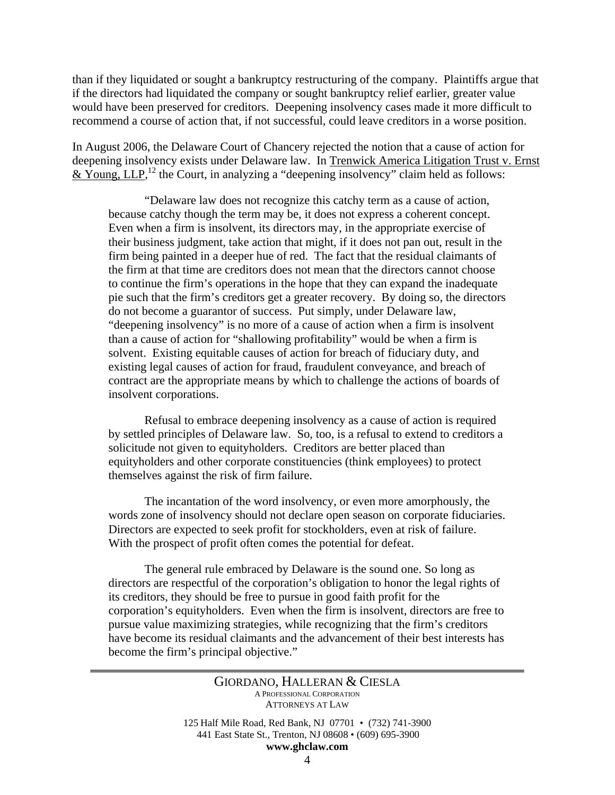than if they liquidated or sought a bankruptcy restructuring of the company. Plaintiffs argue that if the directors had liquidated the company or sought bankruptcy relief earlier, greater value would have been preserved for creditors. Deepening insolvency cases made it more difficult to recommend a course of action that, if not successful, could leave creditors in a worse position.

In August 2006, the Delaware Court of Chancery rejected the notion that a cause of action for deepening insolvency exists under Delaware law. In Trenwick America Litigation Trust v. Ernst  $&$  Young, LLP,<sup>12</sup> the Court, in analyzing a "deepening insolvency" claim held as follows:

"Delaware law does not recognize this catchy term as a cause of action, because catchy though the term may be, it does not express a coherent concept. Even when a firm is insolvent, its directors may, in the appropriate exercise of their business judgment, take action that might, if it does not pan out, result in the firm being painted in a deeper hue of red. The fact that the residual claimants of the firm at that time are creditors does not mean that the directors cannot choose to continue the firm's operations in the hope that they can expand the inadequate pie such that the firm's creditors get a greater recovery. By doing so, the directors do not become a guarantor of success. Put simply, under Delaware law, "deepening insolvency" is no more of a cause of action when a firm is insolvent than a cause of action for "shallowing profitability" would be when a firm is solvent. Existing equitable causes of action for breach of fiduciary duty, and existing legal causes of action for fraud, fraudulent conveyance, and breach of contract are the appropriate means by which to challenge the actions of boards of insolvent corporations.

Refusal to embrace deepening insolvency as a cause of action is required by settled principles of Delaware law. So, too, is a refusal to extend to creditors a solicitude not given to equityholders. Creditors are better placed than equityholders and other corporate constituencies (think employees) to protect themselves against the risk of firm failure.

The incantation of the word insolvency, or even more amorphously, the words zone of insolvency should not declare open season on corporate fiduciaries. Directors are expected to seek profit for stockholders, even at risk of failure. With the prospect of profit often comes the potential for defeat.

The general rule embraced by Delaware is the sound one. So long as directors are respectful of the corporation's obligation to honor the legal rights of its creditors, they should be free to pursue in good faith profit for the corporation's equityholders. Even when the firm is insolvent, directors are free to pursue value maximizing strategies, while recognizing that the firm's creditors have become its residual claimants and the advancement of their best interests has become the firm's principal objective."

### GIORDANO, HALLERAN & CIESLA A PROFESSIONAL CORPORATION ATTORNEYS AT LAW

125 Half Mile Road, Red Bank, NJ 07701 • (732) 741-3900 441 East State St., Trenton, NJ 08608 • (609) 695-3900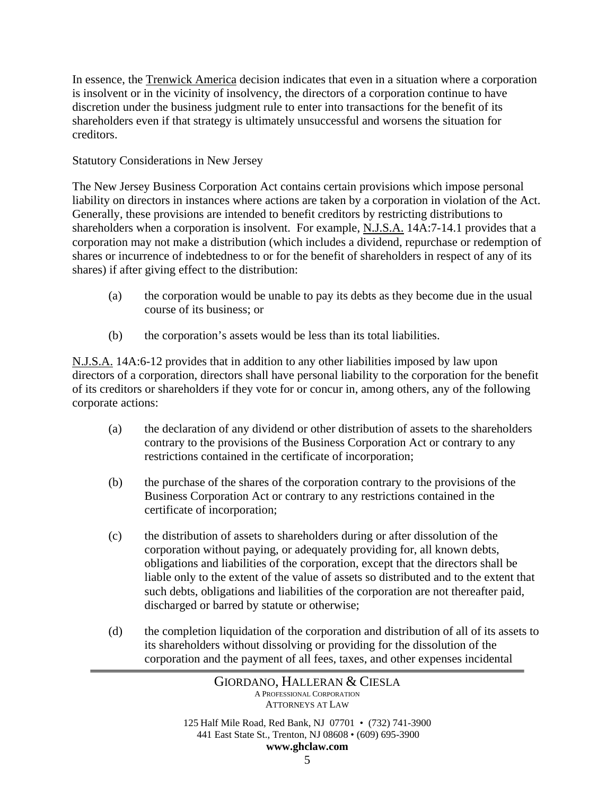In essence, the Trenwick America decision indicates that even in a situation where a corporation is insolvent or in the vicinity of insolvency, the directors of a corporation continue to have discretion under the business judgment rule to enter into transactions for the benefit of its shareholders even if that strategy is ultimately unsuccessful and worsens the situation for creditors.

### Statutory Considerations in New Jersey

The New Jersey Business Corporation Act contains certain provisions which impose personal liability on directors in instances where actions are taken by a corporation in violation of the Act. Generally, these provisions are intended to benefit creditors by restricting distributions to shareholders when a corporation is insolvent. For example, N.J.S.A. 14A:7-14.1 provides that a corporation may not make a distribution (which includes a dividend, repurchase or redemption of shares or incurrence of indebtedness to or for the benefit of shareholders in respect of any of its shares) if after giving effect to the distribution:

- (a) the corporation would be unable to pay its debts as they become due in the usual course of its business; or
- (b) the corporation's assets would be less than its total liabilities.

N.J.S.A. 14A:6-12 provides that in addition to any other liabilities imposed by law upon directors of a corporation, directors shall have personal liability to the corporation for the benefit of its creditors or shareholders if they vote for or concur in, among others, any of the following corporate actions:

- (a) the declaration of any dividend or other distribution of assets to the shareholders contrary to the provisions of the Business Corporation Act or contrary to any restrictions contained in the certificate of incorporation;
- (b) the purchase of the shares of the corporation contrary to the provisions of the Business Corporation Act or contrary to any restrictions contained in the certificate of incorporation;
- (c) the distribution of assets to shareholders during or after dissolution of the corporation without paying, or adequately providing for, all known debts, obligations and liabilities of the corporation, except that the directors shall be liable only to the extent of the value of assets so distributed and to the extent that such debts, obligations and liabilities of the corporation are not thereafter paid, discharged or barred by statute or otherwise;
- (d) the completion liquidation of the corporation and distribution of all of its assets to its shareholders without dissolving or providing for the dissolution of the corporation and the payment of all fees, taxes, and other expenses incidental

441 East State St., Trenton, NJ 08608 • (609) 695-3900